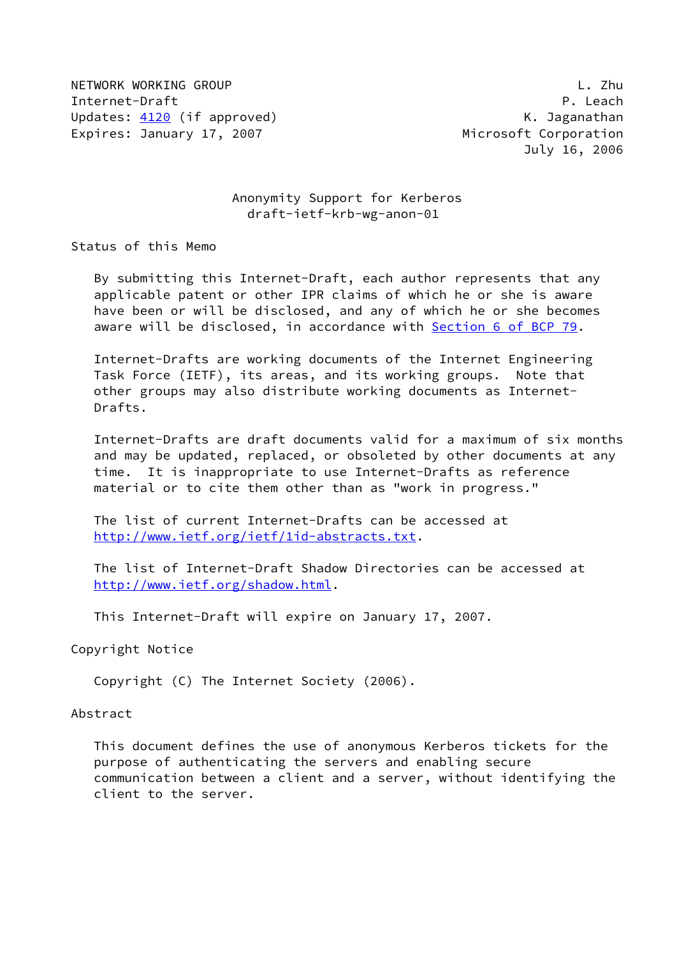NETWORK WORKING GROUP L. Zhu Internet-Draft P. Leach Updates: [4120](https://datatracker.ietf.org/doc/pdf/rfc4120) (if approved) example and the Maganathan Maganathan Expires: January 17, 2007 **Microsoft Corporation** 

# Anonymity Support for Kerberos draft-ietf-krb-wg-anon-01

Status of this Memo

 By submitting this Internet-Draft, each author represents that any applicable patent or other IPR claims of which he or she is aware have been or will be disclosed, and any of which he or she becomes aware will be disclosed, in accordance with Section [6 of BCP 79.](https://datatracker.ietf.org/doc/pdf/bcp79#section-6)

 Internet-Drafts are working documents of the Internet Engineering Task Force (IETF), its areas, and its working groups. Note that other groups may also distribute working documents as Internet- Drafts.

 Internet-Drafts are draft documents valid for a maximum of six months and may be updated, replaced, or obsoleted by other documents at any time. It is inappropriate to use Internet-Drafts as reference material or to cite them other than as "work in progress."

 The list of current Internet-Drafts can be accessed at <http://www.ietf.org/ietf/1id-abstracts.txt>.

 The list of Internet-Draft Shadow Directories can be accessed at <http://www.ietf.org/shadow.html>.

This Internet-Draft will expire on January 17, 2007.

Copyright Notice

Copyright (C) The Internet Society (2006).

#### Abstract

 This document defines the use of anonymous Kerberos tickets for the purpose of authenticating the servers and enabling secure communication between a client and a server, without identifying the client to the server.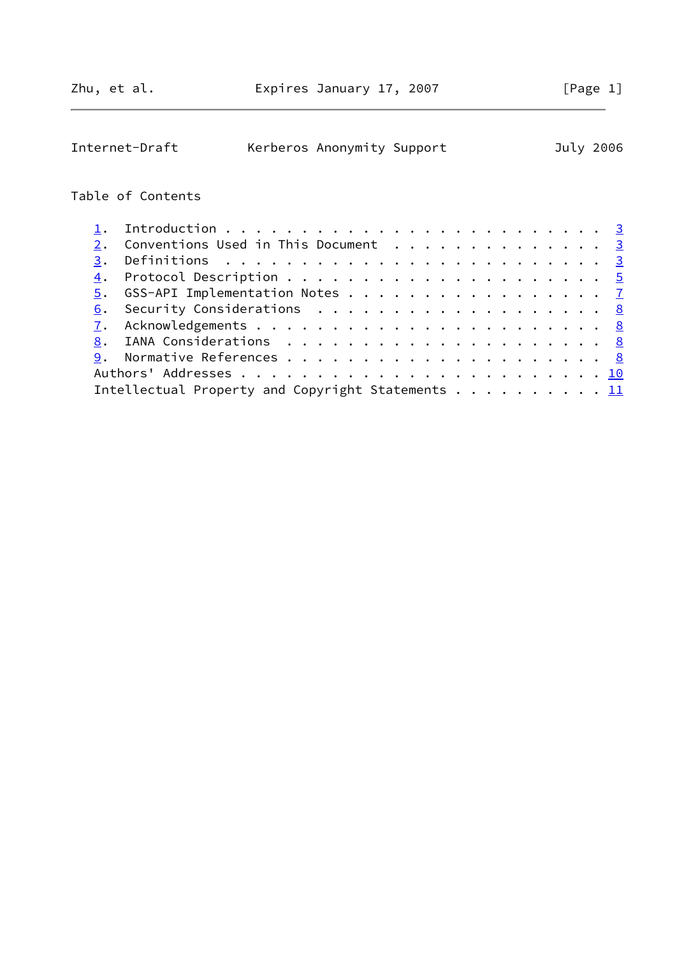| Internet-Draft                                    | Kerberos Anonymity Support |  |  |  |  |  |  |  | July 2006 |
|---------------------------------------------------|----------------------------|--|--|--|--|--|--|--|-----------|
| Table of Contents                                 |                            |  |  |  |  |  |  |  |           |
| 1.                                                |                            |  |  |  |  |  |  |  |           |
| Conventions Used in This Document 3<br>2.         |                            |  |  |  |  |  |  |  |           |
| 3.                                                |                            |  |  |  |  |  |  |  |           |
| $\overline{4}$ .                                  |                            |  |  |  |  |  |  |  |           |
| GSS-API Implementation Notes 7<br>5.              |                            |  |  |  |  |  |  |  |           |
| 6.                                                |                            |  |  |  |  |  |  |  |           |
| 7.                                                |                            |  |  |  |  |  |  |  |           |
| 8.                                                |                            |  |  |  |  |  |  |  |           |
| 9.                                                |                            |  |  |  |  |  |  |  |           |
|                                                   |                            |  |  |  |  |  |  |  |           |
| Intellectual Property and Copyright Statements 11 |                            |  |  |  |  |  |  |  |           |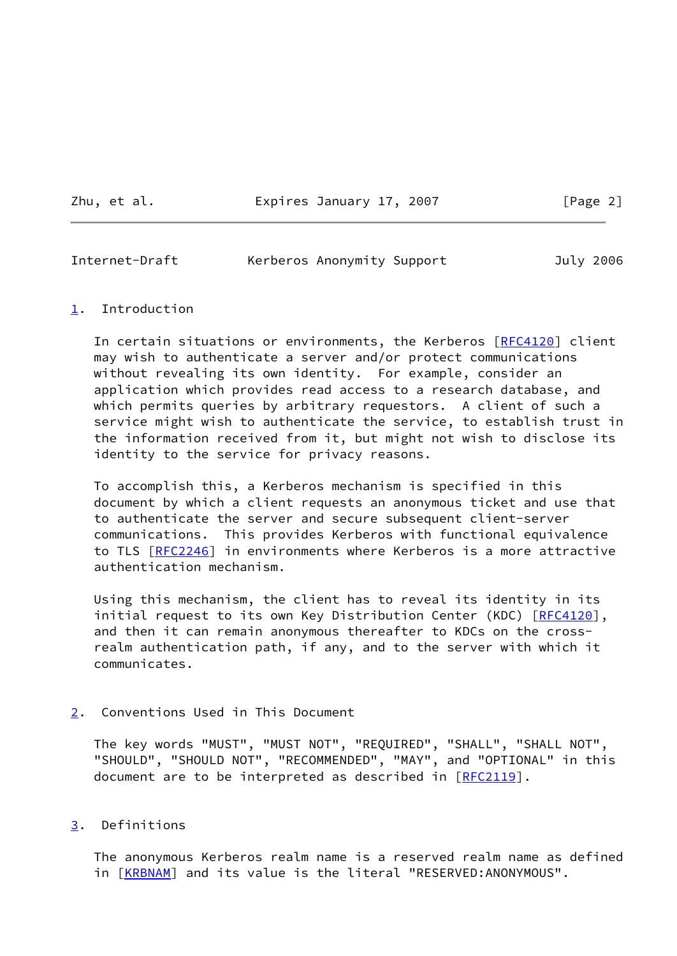Zhu, et al. **Expires January 17, 2007** [Page 2]

<span id="page-2-1"></span>Internet-Draft Kerberos Anonymity Support July 2006

### <span id="page-2-0"></span>[1](#page-2-0). Introduction

In certain situations or environments, the Kerberos [\[RFC4120](https://datatracker.ietf.org/doc/pdf/rfc4120)] client may wish to authenticate a server and/or protect communications without revealing its own identity. For example, consider an application which provides read access to a research database, and which permits queries by arbitrary requestors. A client of such a service might wish to authenticate the service, to establish trust in the information received from it, but might not wish to disclose its identity to the service for privacy reasons.

 To accomplish this, a Kerberos mechanism is specified in this document by which a client requests an anonymous ticket and use that to authenticate the server and secure subsequent client-server communications. This provides Kerberos with functional equivalence to TLS [\[RFC2246](https://datatracker.ietf.org/doc/pdf/rfc2246)] in environments where Kerberos is a more attractive authentication mechanism.

 Using this mechanism, the client has to reveal its identity in its initial request to its own Key Distribution Center (KDC) [\[RFC4120](https://datatracker.ietf.org/doc/pdf/rfc4120)], and then it can remain anonymous thereafter to KDCs on the cross realm authentication path, if any, and to the server with which it communicates.

# <span id="page-2-2"></span>[2](#page-2-2). Conventions Used in This Document

 The key words "MUST", "MUST NOT", "REQUIRED", "SHALL", "SHALL NOT", "SHOULD", "SHOULD NOT", "RECOMMENDED", "MAY", and "OPTIONAL" in this document are to be interpreted as described in [\[RFC2119](https://datatracker.ietf.org/doc/pdf/rfc2119)].

# <span id="page-2-3"></span>[3](#page-2-3). Definitions

 The anonymous Kerberos realm name is a reserved realm name as defined in [[KRBNAM](#page-8-3)] and its value is the literal "RESERVED:ANONYMOUS".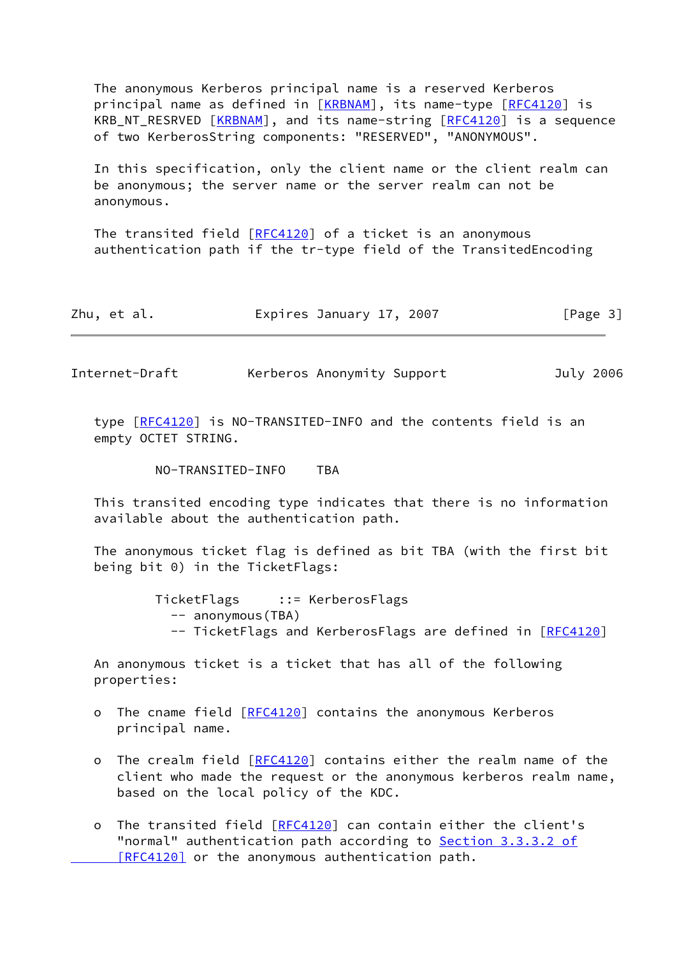The anonymous Kerberos principal name is a reserved Kerberos principal name as defined in [\[KRBNAM](#page-8-3)], its name-type [\[RFC4120](https://datatracker.ietf.org/doc/pdf/rfc4120)] is KRB\_NT\_RESRVED [\[KRBNAM](#page-8-3)], and its name-string [\[RFC4120](https://datatracker.ietf.org/doc/pdf/rfc4120)] is a sequence of two KerberosString components: "RESERVED", "ANONYMOUS".

 In this specification, only the client name or the client realm can be anonymous; the server name or the server realm can not be anonymous.

The transited field  $[REC4120]$  of a ticket is an anonymous authentication path if the tr-type field of the TransitedEncoding

| Zhu, et al. | Expires January 17, 2007 |  | [Page 3] |
|-------------|--------------------------|--|----------|
|-------------|--------------------------|--|----------|

Internet-Draft Kerberos Anonymity Support July 2006

 type [\[RFC4120](https://datatracker.ietf.org/doc/pdf/rfc4120)] is NO-TRANSITED-INFO and the contents field is an empty OCTET STRING.

NO-TRANSITED-INFO TBA

 This transited encoding type indicates that there is no information available about the authentication path.

 The anonymous ticket flag is defined as bit TBA (with the first bit being bit 0) in the TicketFlags:

> TicketFlags ::= KerberosFlags -- anonymous(TBA) -- TicketFlags and KerberosFlags are defined in [[RFC4120](https://datatracker.ietf.org/doc/pdf/rfc4120)]

 An anonymous ticket is a ticket that has all of the following properties:

- o The cname field [[RFC4120\]](https://datatracker.ietf.org/doc/pdf/rfc4120) contains the anonymous Kerberos principal name.
- o The crealm field [\[RFC4120](https://datatracker.ietf.org/doc/pdf/rfc4120)] contains either the realm name of the client who made the request or the anonymous kerberos realm name, based on the local policy of the KDC.
- o The transited field [\[RFC4120](https://datatracker.ietf.org/doc/pdf/rfc4120)] can contain either the client's "normal" authentication path according to Section [3.3.3.2 of](https://datatracker.ietf.org/doc/pdf/rfc4120#section-3.3.3.2)  [\[RFC4120\]](https://datatracker.ietf.org/doc/pdf/rfc4120#section-3.3.3.2) or the anonymous authentication path.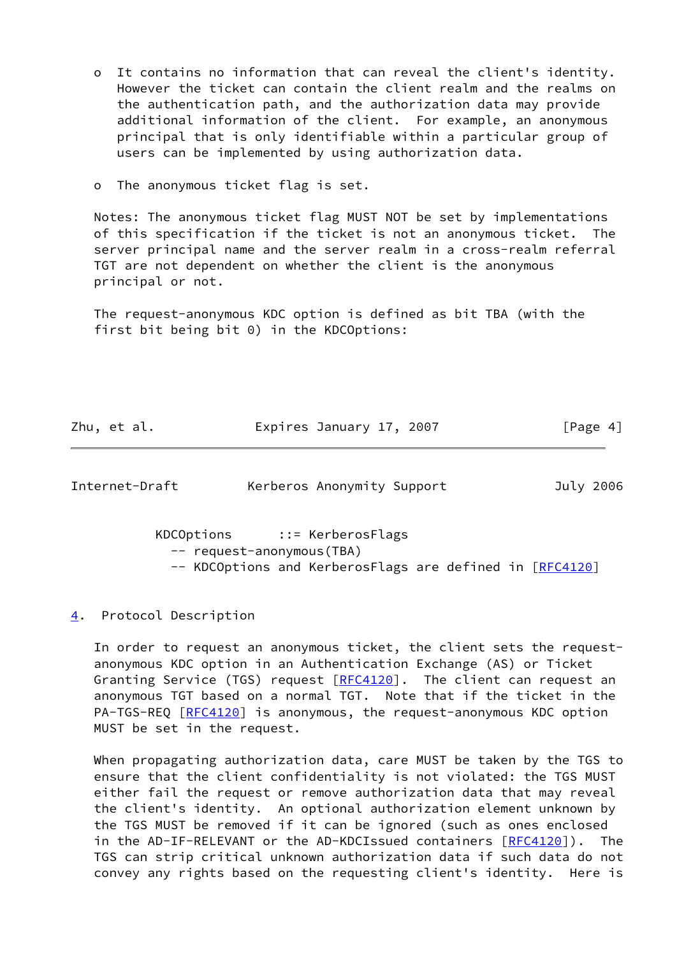- o It contains no information that can reveal the client's identity. However the ticket can contain the client realm and the realms on the authentication path, and the authorization data may provide additional information of the client. For example, an anonymous principal that is only identifiable within a particular group of users can be implemented by using authorization data.
- o The anonymous ticket flag is set.

 Notes: The anonymous ticket flag MUST NOT be set by implementations of this specification if the ticket is not an anonymous ticket. The server principal name and the server realm in a cross-realm referral TGT are not dependent on whether the client is the anonymous principal or not.

 The request-anonymous KDC option is defined as bit TBA (with the first bit being bit 0) in the KDCOptions:

Zhu, et al. **Expires January 17, 2007** [Page 4]

<span id="page-4-1"></span>Internet-Draft Kerberos Anonymity Support July 2006

 KDCOptions ::= KerberosFlags -- request-anonymous(TBA) -- KDCOptions and KerberosFlags are defined in [\[RFC4120](https://datatracker.ietf.org/doc/pdf/rfc4120)]

<span id="page-4-0"></span>[4](#page-4-0). Protocol Description

 In order to request an anonymous ticket, the client sets the request anonymous KDC option in an Authentication Exchange (AS) or Ticket Granting Service (TGS) request [\[RFC4120](https://datatracker.ietf.org/doc/pdf/rfc4120)]. The client can request an anonymous TGT based on a normal TGT. Note that if the ticket in the PA-TGS-REQ [[RFC4120\]](https://datatracker.ietf.org/doc/pdf/rfc4120) is anonymous, the request-anonymous KDC option MUST be set in the request.

 When propagating authorization data, care MUST be taken by the TGS to ensure that the client confidentiality is not violated: the TGS MUST either fail the request or remove authorization data that may reveal the client's identity. An optional authorization element unknown by the TGS MUST be removed if it can be ignored (such as ones enclosed in the AD-IF-RELEVANT or the AD-KDCIssued containers [\[RFC4120](https://datatracker.ietf.org/doc/pdf/rfc4120)]). The TGS can strip critical unknown authorization data if such data do not convey any rights based on the requesting client's identity. Here is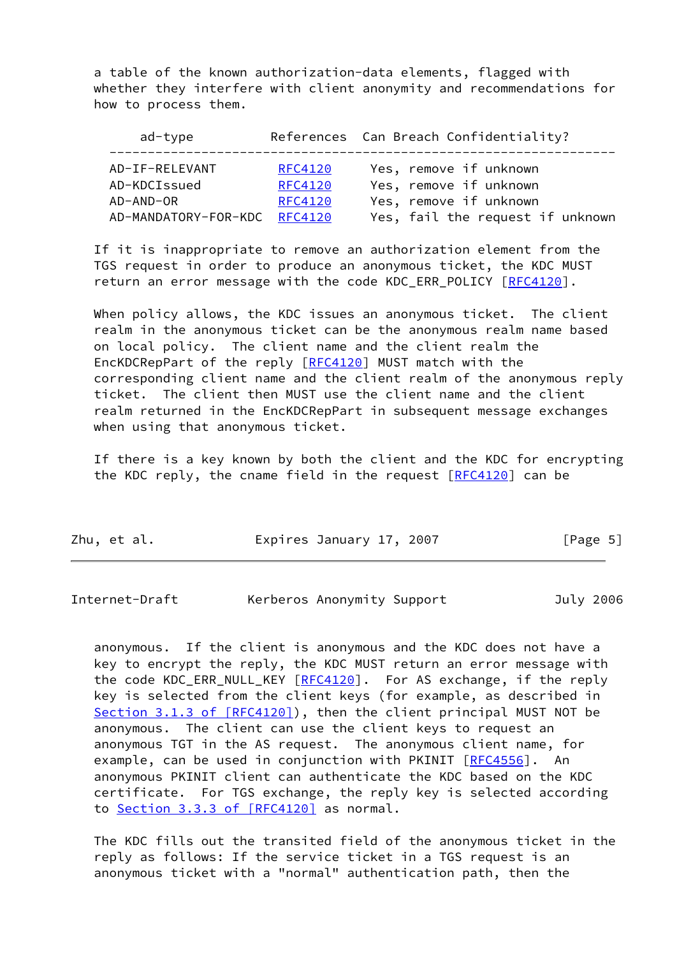a table of the known authorization-data elements, flagged with whether they interfere with client anonymity and recommendations for how to process them.

| ad-type              |                | References Can Breach Confidentiality? |
|----------------------|----------------|----------------------------------------|
| AD-IF-RELEVANT       | <b>RFC4120</b> | Yes, remove if unknown                 |
| AD-KDCIssued         | <b>RFC4120</b> | Yes, remove if unknown                 |
| AD-AND-OR            | <b>RFC4120</b> | Yes, remove if unknown                 |
| AD-MANDATORY-FOR-KDC | RFC4120        | Yes, fail the request if unknown       |

 If it is inappropriate to remove an authorization element from the TGS request in order to produce an anonymous ticket, the KDC MUST return an error message with the code KDC\_ERR\_POLICY [\[RFC4120](https://datatracker.ietf.org/doc/pdf/rfc4120)].

 When policy allows, the KDC issues an anonymous ticket. The client realm in the anonymous ticket can be the anonymous realm name based on local policy. The client name and the client realm the EncKDCRepPart of the reply [[RFC4120\]](https://datatracker.ietf.org/doc/pdf/rfc4120) MUST match with the corresponding client name and the client realm of the anonymous reply ticket. The client then MUST use the client name and the client realm returned in the EncKDCRepPart in subsequent message exchanges when using that anonymous ticket.

 If there is a key known by both the client and the KDC for encrypting the KDC reply, the cname field in the request  $[REC4120]$  can be

| Zhu, et al. | Expires January 17, 2007 | [Page 5] |
|-------------|--------------------------|----------|
|-------------|--------------------------|----------|

| Internet-Draft | Kerberos Anonymity Support |  | July 2006 |
|----------------|----------------------------|--|-----------|
|                |                            |  |           |

 anonymous. If the client is anonymous and the KDC does not have a key to encrypt the reply, the KDC MUST return an error message with the code KDC\_ERR\_NULL\_KEY [[RFC4120](https://datatracker.ietf.org/doc/pdf/rfc4120)]. For AS exchange, if the reply key is selected from the client keys (for example, as described in Section [3.1.3 of \[RFC4120\]](https://datatracker.ietf.org/doc/pdf/rfc4120#section-3.1.3)), then the client principal MUST NOT be anonymous. The client can use the client keys to request an anonymous TGT in the AS request. The anonymous client name, for example, can be used in conjunction with PKINIT [\[RFC4556](https://datatracker.ietf.org/doc/pdf/rfc4556)]. An anonymous PKINIT client can authenticate the KDC based on the KDC certificate. For TGS exchange, the reply key is selected according to Section [3.3.3 of \[RFC4120\]](https://datatracker.ietf.org/doc/pdf/rfc4120#section-3.3.3) as normal.

 The KDC fills out the transited field of the anonymous ticket in the reply as follows: If the service ticket in a TGS request is an anonymous ticket with a "normal" authentication path, then the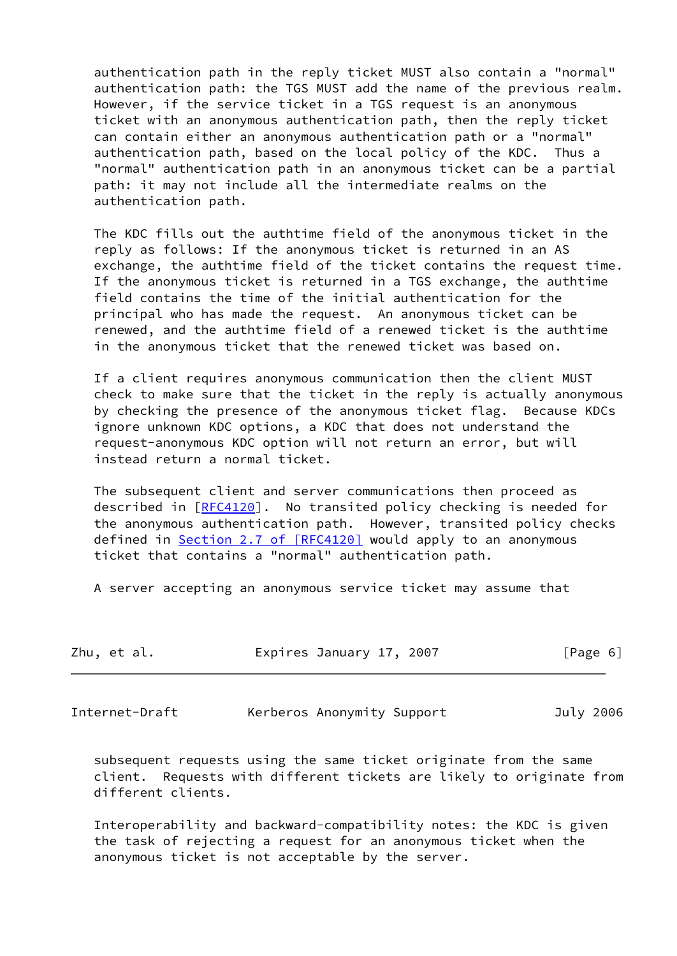authentication path in the reply ticket MUST also contain a "normal" authentication path: the TGS MUST add the name of the previous realm. However, if the service ticket in a TGS request is an anonymous ticket with an anonymous authentication path, then the reply ticket can contain either an anonymous authentication path or a "normal" authentication path, based on the local policy of the KDC. Thus a "normal" authentication path in an anonymous ticket can be a partial path: it may not include all the intermediate realms on the authentication path.

 The KDC fills out the authtime field of the anonymous ticket in the reply as follows: If the anonymous ticket is returned in an AS exchange, the authtime field of the ticket contains the request time. If the anonymous ticket is returned in a TGS exchange, the authtime field contains the time of the initial authentication for the principal who has made the request. An anonymous ticket can be renewed, and the authtime field of a renewed ticket is the authtime in the anonymous ticket that the renewed ticket was based on.

 If a client requires anonymous communication then the client MUST check to make sure that the ticket in the reply is actually anonymous by checking the presence of the anonymous ticket flag. Because KDCs ignore unknown KDC options, a KDC that does not understand the request-anonymous KDC option will not return an error, but will instead return a normal ticket.

 The subsequent client and server communications then proceed as described in [\[RFC4120](https://datatracker.ietf.org/doc/pdf/rfc4120)]. No transited policy checking is needed for the anonymous authentication path. However, transited policy checks defined in Section [2.7 of \[RFC4120\]](https://datatracker.ietf.org/doc/pdf/rfc4120#section-2.7) would apply to an anonymous ticket that contains a "normal" authentication path.

A server accepting an anonymous service ticket may assume that

| Zhu, et al. | Expires January 17, 2007 | [Page 6] |
|-------------|--------------------------|----------|
|-------------|--------------------------|----------|

<span id="page-6-0"></span>Internet-Draft Kerberos Anonymity Support July 2006

 subsequent requests using the same ticket originate from the same client. Requests with different tickets are likely to originate from different clients.

 Interoperability and backward-compatibility notes: the KDC is given the task of rejecting a request for an anonymous ticket when the anonymous ticket is not acceptable by the server.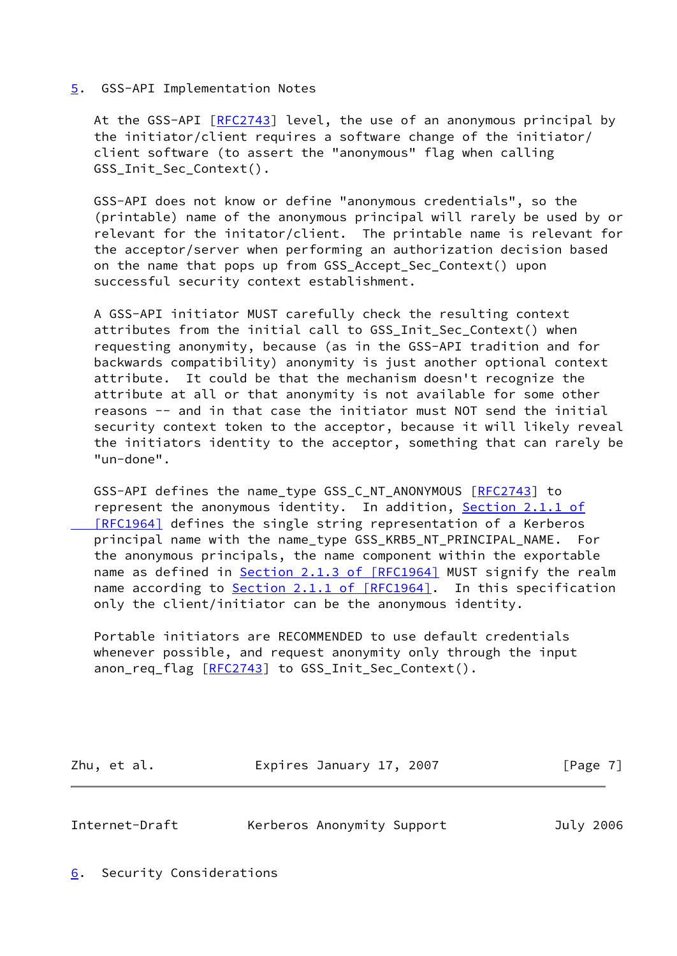#### <span id="page-7-0"></span>[5](#page-7-0). GSS-API Implementation Notes

At the GSS-API [\[RFC2743](https://datatracker.ietf.org/doc/pdf/rfc2743)] level, the use of an anonymous principal by the initiator/client requires a software change of the initiator/ client software (to assert the "anonymous" flag when calling GSS Init Sec Context().

 GSS-API does not know or define "anonymous credentials", so the (printable) name of the anonymous principal will rarely be used by or relevant for the initator/client. The printable name is relevant for the acceptor/server when performing an authorization decision based on the name that pops up from GSS\_Accept\_Sec\_Context() upon successful security context establishment.

 A GSS-API initiator MUST carefully check the resulting context attributes from the initial call to GSS Init Sec Context() when requesting anonymity, because (as in the GSS-API tradition and for backwards compatibility) anonymity is just another optional context attribute. It could be that the mechanism doesn't recognize the attribute at all or that anonymity is not available for some other reasons -- and in that case the initiator must NOT send the initial security context token to the acceptor, because it will likely reveal the initiators identity to the acceptor, something that can rarely be "un-done".

 GSS-API defines the name\_type GSS\_C\_NT\_ANONYMOUS [\[RFC2743](https://datatracker.ietf.org/doc/pdf/rfc2743)] to represent the anonymous identity. In addition, Section [2.1.1 of](https://datatracker.ietf.org/doc/pdf/rfc1964#section-2.1.1)  [\[RFC1964\]](https://datatracker.ietf.org/doc/pdf/rfc1964#section-2.1.1) defines the single string representation of a Kerberos principal name with the name\_type GSS\_KRB5\_NT\_PRINCIPAL\_NAME. For the anonymous principals, the name component within the exportable name as defined in Section [2.1.3 of \[RFC1964\]](https://datatracker.ietf.org/doc/pdf/rfc1964#section-2.1.3) MUST signify the realm name according to Section [2.1.1 of \[RFC1964\].](https://datatracker.ietf.org/doc/pdf/rfc1964#section-2.1.1) In this specification only the client/initiator can be the anonymous identity.

 Portable initiators are RECOMMENDED to use default credentials whenever possible, and request anonymity only through the input anon\_req\_flag [[RFC2743](https://datatracker.ietf.org/doc/pdf/rfc2743)] to GSS\_Init\_Sec\_Context().

Zhu, et al. **Expires January 17, 2007** [Page 7]

<span id="page-7-2"></span>Internet-Draft Kerberos Anonymity Support July 2006

<span id="page-7-1"></span>[6](#page-7-1). Security Considerations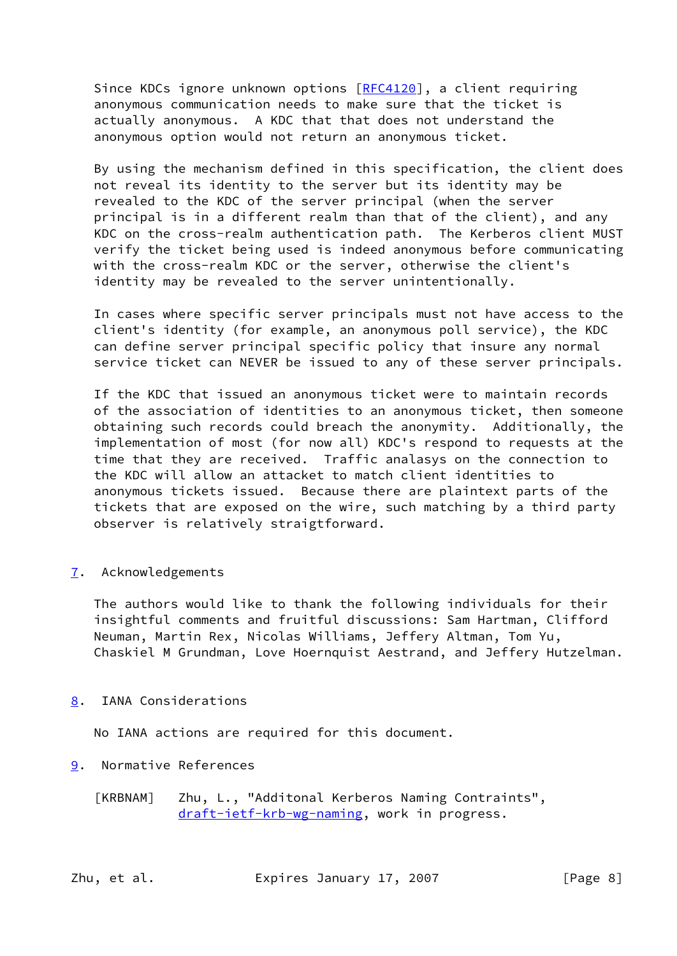Since KDCs ignore unknown options [[RFC4120](https://datatracker.ietf.org/doc/pdf/rfc4120)], a client requiring anonymous communication needs to make sure that the ticket is actually anonymous. A KDC that that does not understand the anonymous option would not return an anonymous ticket.

 By using the mechanism defined in this specification, the client does not reveal its identity to the server but its identity may be revealed to the KDC of the server principal (when the server principal is in a different realm than that of the client), and any KDC on the cross-realm authentication path. The Kerberos client MUST verify the ticket being used is indeed anonymous before communicating with the cross-realm KDC or the server, otherwise the client's identity may be revealed to the server unintentionally.

 In cases where specific server principals must not have access to the client's identity (for example, an anonymous poll service), the KDC can define server principal specific policy that insure any normal service ticket can NEVER be issued to any of these server principals.

 If the KDC that issued an anonymous ticket were to maintain records of the association of identities to an anonymous ticket, then someone obtaining such records could breach the anonymity. Additionally, the implementation of most (for now all) KDC's respond to requests at the time that they are received. Traffic analasys on the connection to the KDC will allow an attacket to match client identities to anonymous tickets issued. Because there are plaintext parts of the tickets that are exposed on the wire, such matching by a third party observer is relatively straigtforward.

<span id="page-8-0"></span>[7](#page-8-0). Acknowledgements

 The authors would like to thank the following individuals for their insightful comments and fruitful discussions: Sam Hartman, Clifford Neuman, Martin Rex, Nicolas Williams, Jeffery Altman, Tom Yu, Chaskiel M Grundman, Love Hoernquist Aestrand, and Jeffery Hutzelman.

<span id="page-8-1"></span>[8](#page-8-1). IANA Considerations

No IANA actions are required for this document.

- <span id="page-8-3"></span><span id="page-8-2"></span>[9](#page-8-2). Normative References
	- [KRBNAM] Zhu, L., "Additonal Kerberos Naming Contraints", [draft-ietf-krb-wg-naming,](https://datatracker.ietf.org/doc/pdf/draft-ietf-krb-wg-naming) work in progress.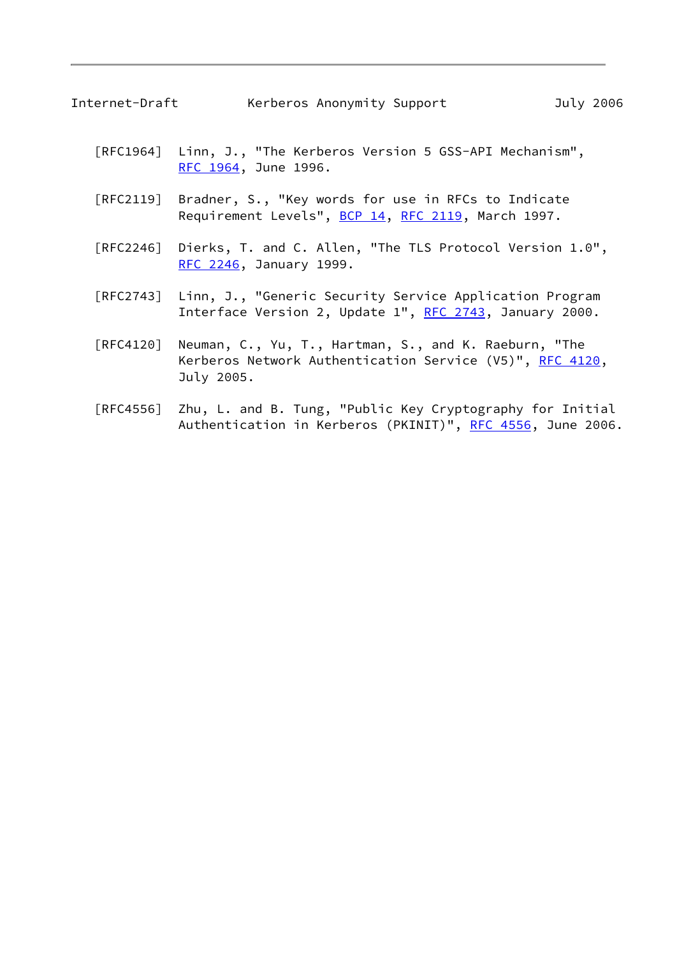- [RFC1964] Linn, J., "The Kerberos Version 5 GSS-API Mechanism", [RFC 1964,](https://datatracker.ietf.org/doc/pdf/rfc1964) June 1996.
- [RFC2119] Bradner, S., "Key words for use in RFCs to Indicate Requirement Levels", [BCP 14](https://datatracker.ietf.org/doc/pdf/bcp14), [RFC 2119](https://datatracker.ietf.org/doc/pdf/rfc2119), March 1997.
- [RFC2246] Dierks, T. and C. Allen, "The TLS Protocol Version 1.0", [RFC 2246,](https://datatracker.ietf.org/doc/pdf/rfc2246) January 1999.
- [RFC2743] Linn, J., "Generic Security Service Application Program Interface Version 2, Update 1", [RFC 2743,](https://datatracker.ietf.org/doc/pdf/rfc2743) January 2000.
- [RFC4120] Neuman, C., Yu, T., Hartman, S., and K. Raeburn, "The Kerberos Network Authentication Service (V5)", [RFC 4120](https://datatracker.ietf.org/doc/pdf/rfc4120), July 2005.
- [RFC4556] Zhu, L. and B. Tung, "Public Key Cryptography for Initial Authentication in Kerberos (PKINIT)", [RFC 4556](https://datatracker.ietf.org/doc/pdf/rfc4556), June 2006.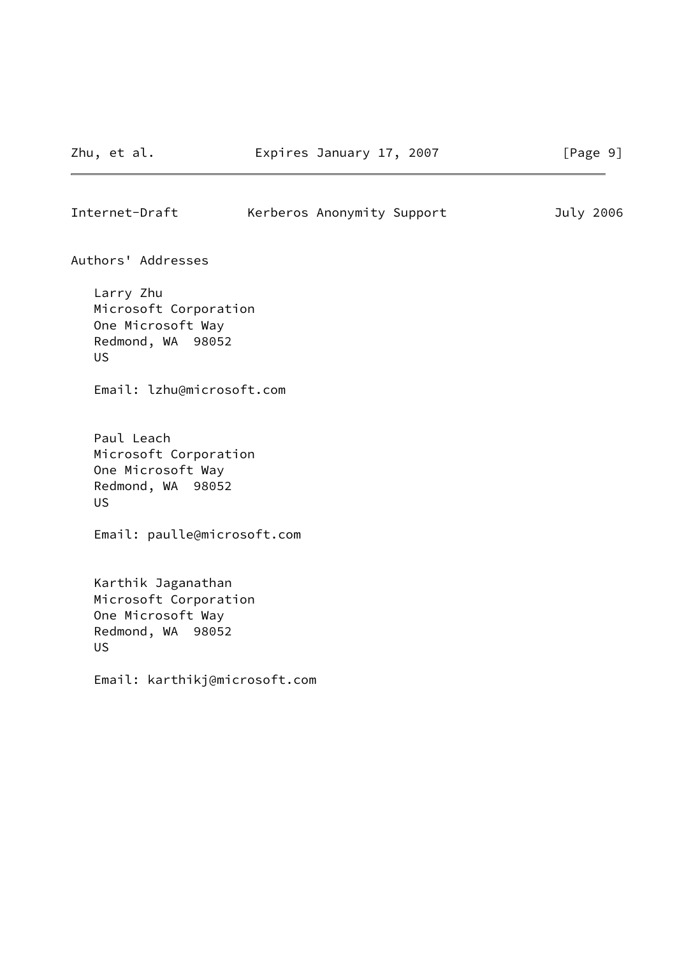<span id="page-10-0"></span>

| Internet-Draft | Kerberos Anonymity Support |  | July 2006 |
|----------------|----------------------------|--|-----------|
|                |                            |  |           |

Authors' Addresses

 Larry Zhu Microsoft Corporation One Microsoft Way Redmond, WA 98052 US

Email: lzhu@microsoft.com

 Paul Leach Microsoft Corporation One Microsoft Way Redmond, WA 98052 US

Email: paulle@microsoft.com

 Karthik Jaganathan Microsoft Corporation One Microsoft Way Redmond, WA 98052 US

Email: karthikj@microsoft.com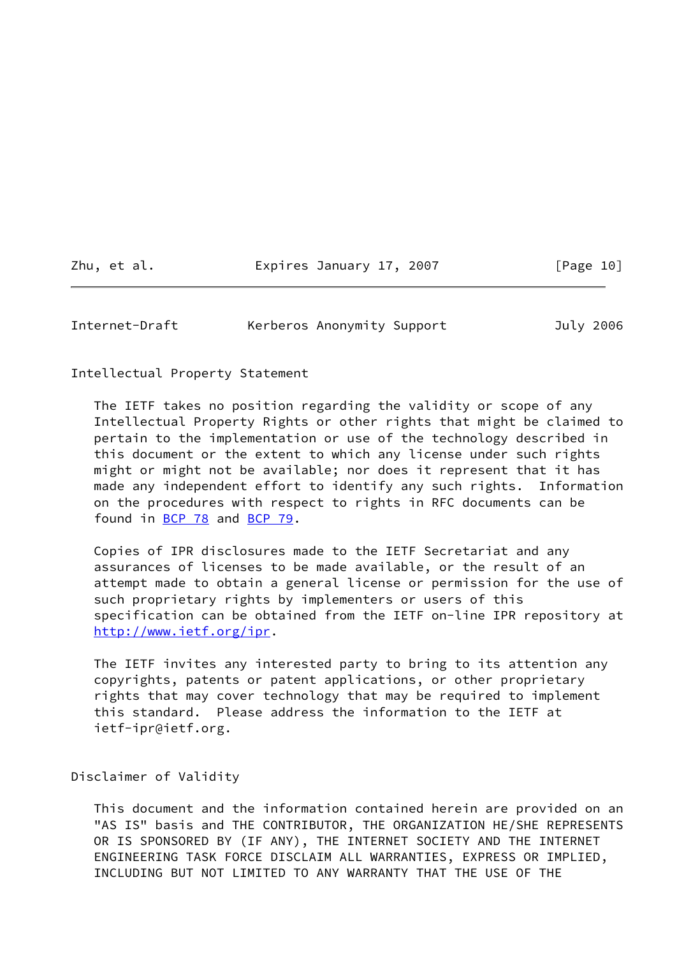Zhu, et al. **Expires January 17, 2007** [Page 10]

<span id="page-11-0"></span>Internet-Draft Kerberos Anonymity Support July 2006

Intellectual Property Statement

 The IETF takes no position regarding the validity or scope of any Intellectual Property Rights or other rights that might be claimed to pertain to the implementation or use of the technology described in this document or the extent to which any license under such rights might or might not be available; nor does it represent that it has made any independent effort to identify any such rights. Information on the procedures with respect to rights in RFC documents can be found in [BCP 78](https://datatracker.ietf.org/doc/pdf/bcp78) and [BCP 79](https://datatracker.ietf.org/doc/pdf/bcp79).

 Copies of IPR disclosures made to the IETF Secretariat and any assurances of licenses to be made available, or the result of an attempt made to obtain a general license or permission for the use of such proprietary rights by implementers or users of this specification can be obtained from the IETF on-line IPR repository at <http://www.ietf.org/ipr>.

 The IETF invites any interested party to bring to its attention any copyrights, patents or patent applications, or other proprietary rights that may cover technology that may be required to implement this standard. Please address the information to the IETF at ietf-ipr@ietf.org.

Disclaimer of Validity

 This document and the information contained herein are provided on an "AS IS" basis and THE CONTRIBUTOR, THE ORGANIZATION HE/SHE REPRESENTS OR IS SPONSORED BY (IF ANY), THE INTERNET SOCIETY AND THE INTERNET ENGINEERING TASK FORCE DISCLAIM ALL WARRANTIES, EXPRESS OR IMPLIED, INCLUDING BUT NOT LIMITED TO ANY WARRANTY THAT THE USE OF THE